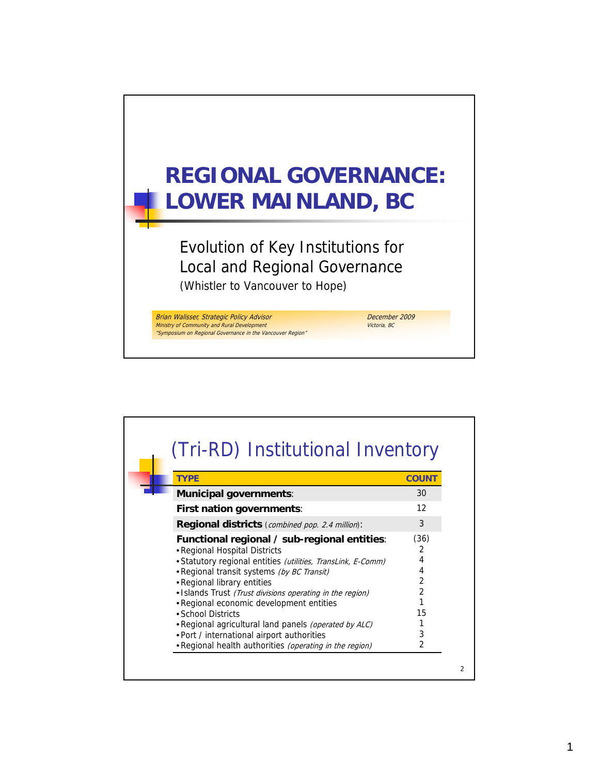

| <b>TYPE</b>                                                                                                                                                                                                                                                                                                                                                                                                                                                                                                                 | <b>COUNT</b>                                  |
|-----------------------------------------------------------------------------------------------------------------------------------------------------------------------------------------------------------------------------------------------------------------------------------------------------------------------------------------------------------------------------------------------------------------------------------------------------------------------------------------------------------------------------|-----------------------------------------------|
| <b>Municipal governments:</b>                                                                                                                                                                                                                                                                                                                                                                                                                                                                                               | 30                                            |
| <b>First nation governments:</b>                                                                                                                                                                                                                                                                                                                                                                                                                                                                                            | 12                                            |
| Regional districts (combined pop. 2.4 million):                                                                                                                                                                                                                                                                                                                                                                                                                                                                             | 3                                             |
| Functional regional / sub-regional entities:<br>• Regional Hospital Districts<br>• Statutory regional entities (utilities, TransLink, E-Comm)<br>. Regional transit systems (by BC Transit)<br>• Regional library entities<br>. Islands Trust (Trust divisions operating in the region)<br>• Regional economic development entities<br>• School Districts<br>. Regional agricultural land panels (operated by ALC)<br>. Port / international airport authorities<br>. Regional health authorities (operating in the region) | (36)<br>2<br>4<br>4<br>2<br>2<br>15<br>3<br>2 |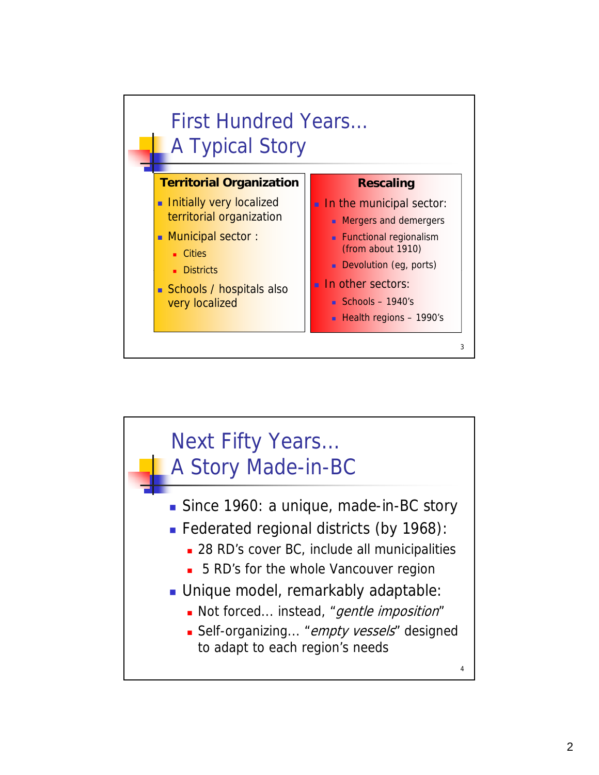

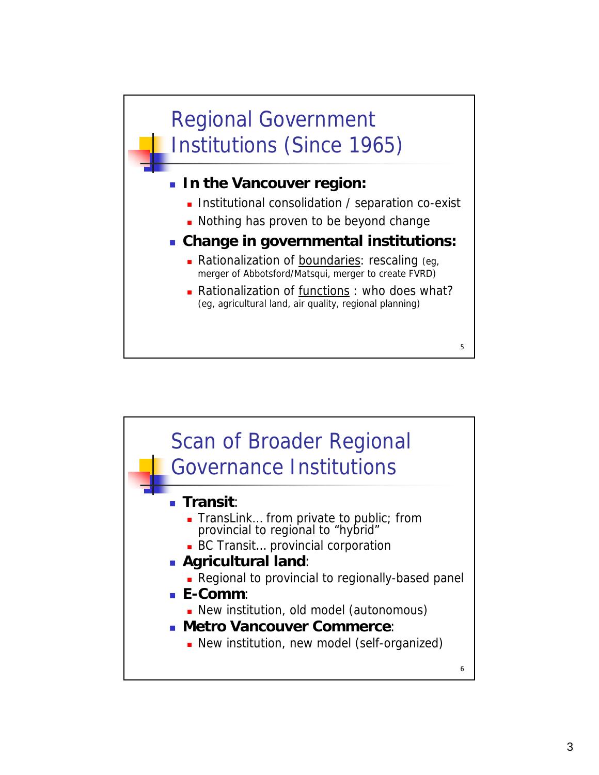## Regional Government Institutions (Since 1965)

- **In the Vancouver region: In the Vancouver**
	- **Institutional consolidation / separation co-exist**
	- Nothing has proven to be beyond change
- **Change in governmental institutions:**
	- Rationalization of boundaries: rescaling (eg, merger of Abbotsford/Matsqui, merger to create FVRD)
	- **Rationalization of functions : who does what?** (eg, agricultural land, air quality, regional planning)

5